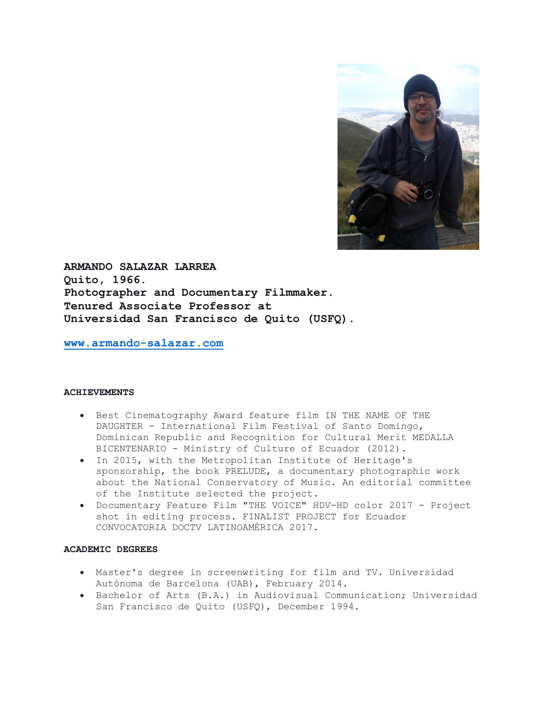

**ARMANDO SALAZAR LARREA Quito, 1966. Photographer and Documentary Filmmaker. Tenured Associate Professor at Universidad San Francisco de Quito (USFQ).**

**www.armando-salazar.com**

### **ACHIEVEMENTS**

- Best Cinematography Award feature film IN THE NAME OF THE DAUGHTER - International Film Festival of Santo Domingo, Dominican Republic and Recognition for Cultural Merit MEDALLA BICENTENARIO - Ministry of Culture of Ecuador (2012).
- In 2015, with the Metropolitan Institute of Heritage's sponsorship, the book PRELUDE, a documentary photographic work about the National Conservatory of Music. An editorial committee of the Institute selected the project.
- Documentary Feature Film "THE VOICE" HDV-HD color 2017 Project shot in editing process. FINALIST PROJECT for Ecuador CONVOCATORIA DOCTV LATINOAMÉRICA 2017.

# **ACADEMIC DEGREES**

- Master's degree in screenwriting for film and TV. Universidad Autónoma de Barcelona (UAB), February 2014.
- Bachelor of Arts (B.A.) in Audiovisual Communication; Universidad San Francisco de Quito (USFQ), December 1994.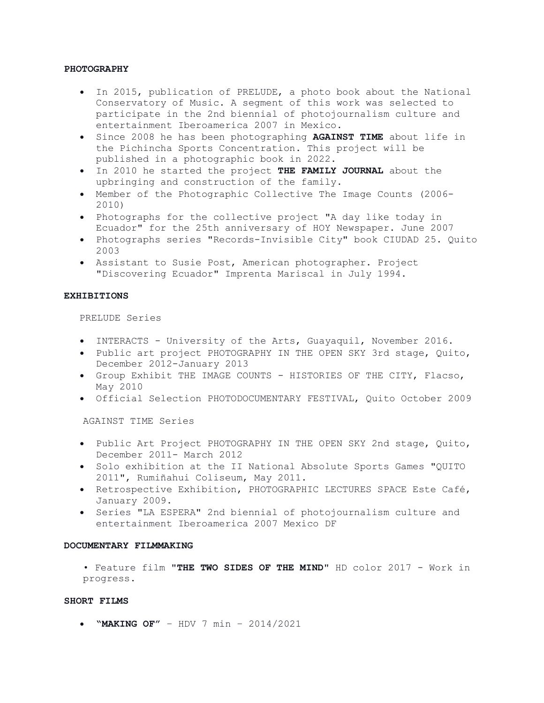### **PHOTOGRAPHY**

- In 2015, publication of PRELUDE, a photo book about the National Conservatory of Music. A segment of this work was selected to participate in the 2nd biennial of photojournalism culture and entertainment Iberoamerica 2007 in Mexico.
- Since 2008 he has been photographing **AGAINST TIME** about life in the Pichincha Sports Concentration. This project will be published in a photographic book in 2022.
- In 2010 he started the project **THE FAMILY JOURNAL** about the upbringing and construction of the family.
- Member of the Photographic Collective The Image Counts (2006- 2010)
- Photographs for the collective project "A day like today in Ecuador" for the 25th anniversary of HOY Newspaper. June 2007
- Photographs series "Records-Invisible City" book CIUDAD 25. Quito 2003
- Assistant to Susie Post, American photographer. Project "Discovering Ecuador" Imprenta Mariscal in July 1994.

### **EXHIBITIONS**

PRELUDE Series

- INTERACTS University of the Arts, Guayaquil, November 2016.
- Public art project PHOTOGRAPHY IN THE OPEN SKY 3rd stage, Quito, December 2012-January 2013
- Group Exhibit THE IMAGE COUNTS HISTORIES OF THE CITY, Flacso, May 2010
- Official Selection PHOTODOCUMENTARY FESTIVAL, Quito October 2009

AGAINST TIME Series

- Public Art Project PHOTOGRAPHY IN THE OPEN SKY 2nd stage, Quito, December 2011- March 2012
- Solo exhibition at the II National Absolute Sports Games "QUITO 2011", Rumiñahui Coliseum, May 2011.
- Retrospective Exhibition, PHOTOGRAPHIC LECTURES SPACE Este Café, January 2009.
- Series "LA ESPERA" 2nd biennial of photojournalism culture and entertainment Iberoamerica 2007 Mexico DF

#### **DOCUMENTARY FILMMAKING**

• Feature film "**THE TWO SIDES OF THE MIND**" HD color 2017 - Work in progress.

### **SHORT FILMS**

• **"MAKING OF"** – HDV 7 min – 2014/2021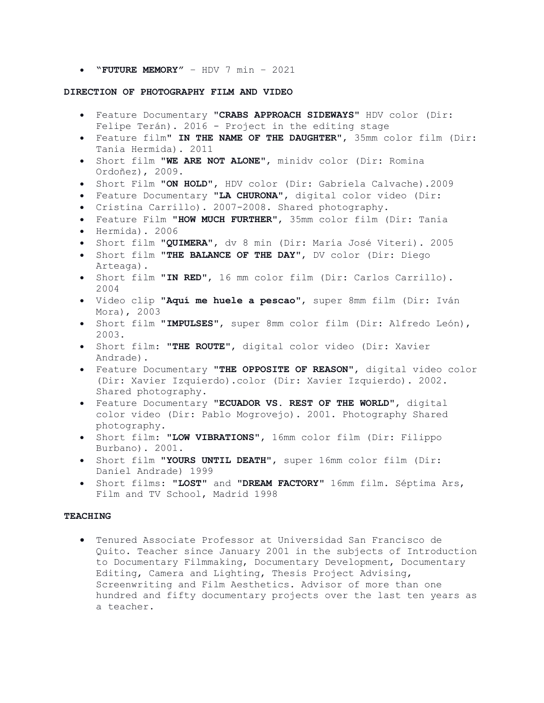• **"FUTURE MEMORY"** – HDV 7 min – 2021

### **DIRECTION OF PHOTOGRAPHY FILM AND VIDEO**

- Feature Documentary "**CRABS APPROACH SIDEWAYS**" HDV color (Dir: Felipe Terán). 2016 - Project in the editing stage
- Feature film" **IN THE NAME OF THE DAUGHTER**", 35mm color film (Dir: Tania Hermida). 2011
- Short film "**WE ARE NOT ALONE**", minidv color (Dir: Romina Ordoñez), 2009.
- Short Film "**ON HOLD**", HDV color (Dir: Gabriela Calvache).2009
- Feature Documentary "**LA CHURONA**", digital color video (Dir:
- Cristina Carrillo). 2007-2008. Shared photography.
- Feature Film "**HOW MUCH FURTHER**", 35mm color film (Dir: Tania
- Hermida). 2006
- Short film "**QUIMERA**", dv 8 min (Dir: María José Viteri). 2005
- Short film "**THE BALANCE OF THE DAY**", DV color (Dir: Diego Arteaga).
- Short film "**IN RED**", 16 mm color film (Dir: Carlos Carrillo). 2004
- Video clip "**Aquí me huele a pescao**", super 8mm film (Dir: Iván Mora), 2003
- Short film "**IMPULSES**", super 8mm color film (Dir: Alfredo León), 2003.
- Short film: "**THE ROUTE**", digital color video (Dir: Xavier Andrade).
- Feature Documentary "**THE OPPOSITE OF REASON**", digital video color (Dir: Xavier Izquierdo).color (Dir: Xavier Izquierdo). 2002. Shared photography.
- Feature Documentary "**ECUADOR VS. REST OF THE WORLD**", digital color video (Dir: Pablo Mogrovejo). 2001. Photography Shared photography.
- Short film: "**LOW VIBRATIONS**", 16mm color film (Dir: Filippo Burbano). 2001.
- Short film "**YOURS UNTIL DEATH**", super 16mm color film (Dir: Daniel Andrade) 1999
- Short films: "**LOST**" and "**DREAM FACTORY**" 16mm film. Séptima Ars, Film and TV School, Madrid 1998

#### **TEACHING**

• Tenured Associate Professor at Universidad San Francisco de Quito. Teacher since January 2001 in the subjects of Introduction to Documentary Filmmaking, Documentary Development, Documentary Editing, Camera and Lighting, Thesis Project Advising, Screenwriting and Film Aesthetics. Advisor of more than one hundred and fifty documentary projects over the last ten years as a teacher.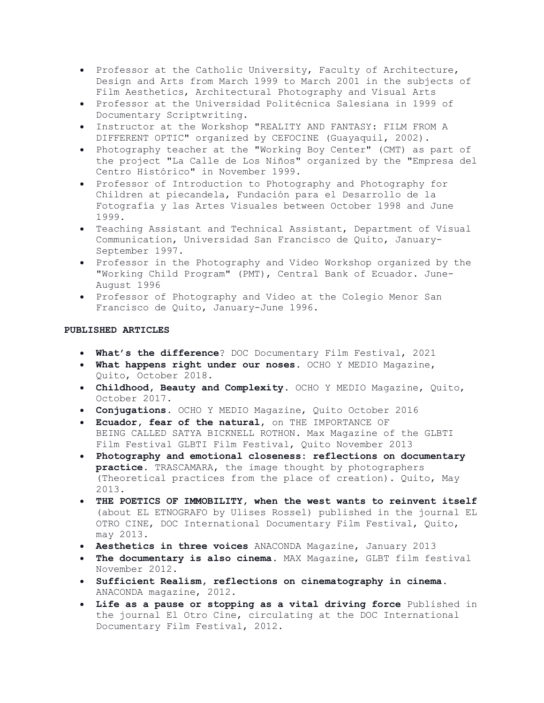- Professor at the Catholic University, Faculty of Architecture, Design and Arts from March 1999 to March 2001 in the subjects of Film Aesthetics, Architectural Photography and Visual Arts
- Professor at the Universidad Politécnica Salesiana in 1999 of Documentary Scriptwriting.
- Instructor at the Workshop "REALITY AND FANTASY: FILM FROM A DIFFERENT OPTIC" organized by CEFOCINE (Guayaquil, 2002).
- Photography teacher at the "Working Boy Center" (CMT) as part of the project "La Calle de Los Niños" organized by the "Empresa del Centro Histórico" in November 1999.
- Professor of Introduction to Photography and Photography for Children at piecandela, Fundación para el Desarrollo de la Fotografía y las Artes Visuales between October 1998 and June 1999.
- Teaching Assistant and Technical Assistant, Department of Visual Communication, Universidad San Francisco de Quito, January-September 1997.
- Professor in the Photography and Video Workshop organized by the "Working Child Program" (PMT), Central Bank of Ecuador. June-August 1996
- Professor of Photography and Video at the Colegio Menor San Francisco de Quito, January-June 1996.

# **PUBLISHED ARTICLES**

- **What's the difference**? DOC Documentary Film Festival, 2021
- **What happens right under our noses**. OCHO Y MEDIO Magazine, Quito, October 2018.
- **Childhood, Beauty and Complexity**. OCHO Y MEDIO Magazine, Quito, October 2017.
- **Conjugations**. OCHO Y MEDIO Magazine, Quito October 2016
- **Ecuador, fear of the natural**, on THE IMPORTANCE OF BEING CALLED SATYA BICKNELL ROTHON. Max Magazine of the GLBTI Film Festival GLBTI Film Festival, Quito November 2013
- **Photography and emotional closeness: reflections on documentary practice.** TRASCAMARA, the image thought by photographers (Theoretical practices from the place of creation). Quito, May 2013.
- **THE POETICS OF IMMOBILITY, when the west wants to reinvent itself** (about EL ETNOGRAFO by Ulises Rossel) published in the journal EL OTRO CINE, DOC International Documentary Film Festival, Quito, may 2013.
- **Aesthetics in three voices** ANACONDA Magazine, January 2013
- **The documentary is also cinema**. MAX Magazine, GLBT film festival November 2012.
- **Sufficient Realism, reflections on cinematography in cinema.** ANACONDA magazine, 2012.
- **Life as a pause or stopping as a vital driving force** Published in the journal El Otro Cine, circulating at the DOC International Documentary Film Festival, 2012.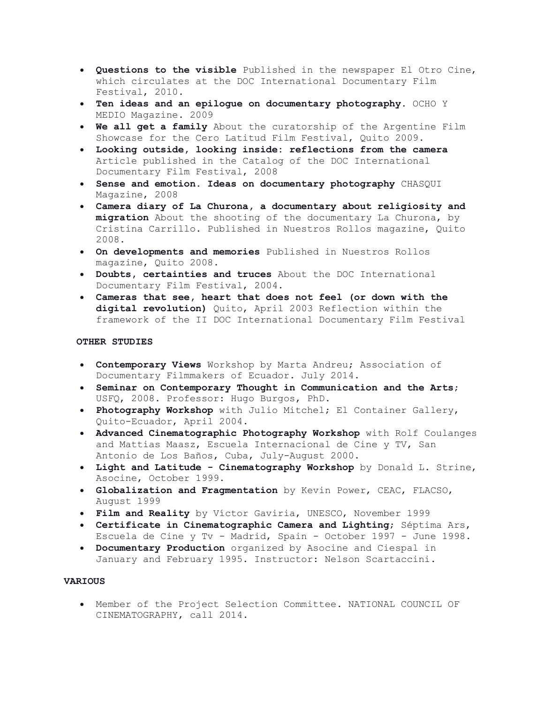- **Questions to the visible** Published in the newspaper El Otro Cine, which circulates at the DOC International Documentary Film Festival, 2010.
- **Ten ideas and an epilogue on documentary photography**. OCHO Y MEDIO Magazine. 2009
- **We all get a family** About the curatorship of the Argentine Film Showcase for the Cero Latitud Film Festival, Quito 2009.
- **Looking outside, looking inside: reflections from the camera** Article published in the Catalog of the DOC International Documentary Film Festival, 2008
- **Sense and emotion. Ideas on documentary photography** CHASQUI Magazine, 2008
- **Camera diary of La Churona, a documentary about religiosity and migration** About the shooting of the documentary La Churona, by Cristina Carrillo. Published in Nuestros Rollos magazine, Quito 2008.
- **On developments and memories** Published in Nuestros Rollos magazine, Quito 2008.
- **Doubts, certainties and truces** About the DOC International Documentary Film Festival, 2004.
- **Cameras that see, heart that does not feel (or down with the digital revolution)** Quito, April 2003 Reflection within the framework of the II DOC International Documentary Film Festival

# **OTHER STUDIES**

- **Contemporary Views** Workshop by Marta Andreu; Association of Documentary Filmmakers of Ecuador. July 2014.
- **Seminar on Contemporary Thought in Communication and the Arts**; USFQ, 2008. Professor: Hugo Burgos, PhD.
- **Photography Workshop** with Julio Mitchel; El Container Gallery, Quito-Ecuador, April 2004.
- **Advanced Cinematographic Photography Workshop** with Rolf Coulanges and Mattias Maasz, Escuela Internacional de Cine y TV, San Antonio de Los Baños, Cuba, July-August 2000.
- **Light and Latitude - Cinematography Workshop** by Donald L. Strine, Asocine, October 1999.
- **Globalization and Fragmentation** by Kevin Power, CEAC, FLACSO, August 1999
- **Film and Reality** by Víctor Gaviria, UNESCO, November 1999
- **Certificate in Cinematographic Camera and Lighting**; Séptima Ars, Escuela de Cine y Tv - Madrid, Spain - October 1997 - June 1998.
- **Documentary Production** organized by Asocine and Ciespal in January and February 1995. Instructor: Nelson Scartaccini.

# **VARIOUS**

• Member of the Project Selection Committee. NATIONAL COUNCIL OF CINEMATOGRAPHY, call 2014.